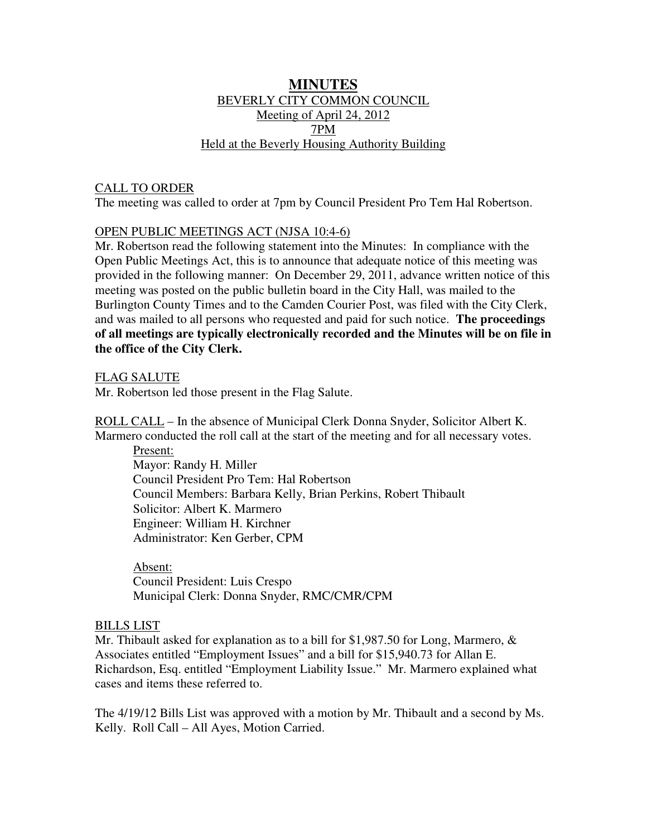# **MINUTES** BEVERLY CITY COMMON COUNCIL Meeting of April 24, 2012 7PM Held at the Beverly Housing Authority Building

# CALL TO ORDER

The meeting was called to order at 7pm by Council President Pro Tem Hal Robertson.

## OPEN PUBLIC MEETINGS ACT (NJSA 10:4-6)

Mr. Robertson read the following statement into the Minutes: In compliance with the Open Public Meetings Act, this is to announce that adequate notice of this meeting was provided in the following manner: On December 29, 2011, advance written notice of this meeting was posted on the public bulletin board in the City Hall, was mailed to the Burlington County Times and to the Camden Courier Post, was filed with the City Clerk, and was mailed to all persons who requested and paid for such notice. **The proceedings of all meetings are typically electronically recorded and the Minutes will be on file in the office of the City Clerk.**

## FLAG SALUTE

Mr. Robertson led those present in the Flag Salute.

ROLL CALL – In the absence of Municipal Clerk Donna Snyder, Solicitor Albert K. Marmero conducted the roll call at the start of the meeting and for all necessary votes.

 Present: Mayor: Randy H. Miller Council President Pro Tem: Hal Robertson Council Members: Barbara Kelly, Brian Perkins, Robert Thibault Solicitor: Albert K. Marmero Engineer: William H. Kirchner Administrator: Ken Gerber, CPM

 Absent: Council President: Luis Crespo Municipal Clerk: Donna Snyder, RMC/CMR/CPM

### BILLS LIST

Mr. Thibault asked for explanation as to a bill for \$1,987.50 for Long, Marmero, & Associates entitled "Employment Issues" and a bill for \$15,940.73 for Allan E. Richardson, Esq. entitled "Employment Liability Issue." Mr. Marmero explained what cases and items these referred to.

The 4/19/12 Bills List was approved with a motion by Mr. Thibault and a second by Ms. Kelly. Roll Call – All Ayes, Motion Carried.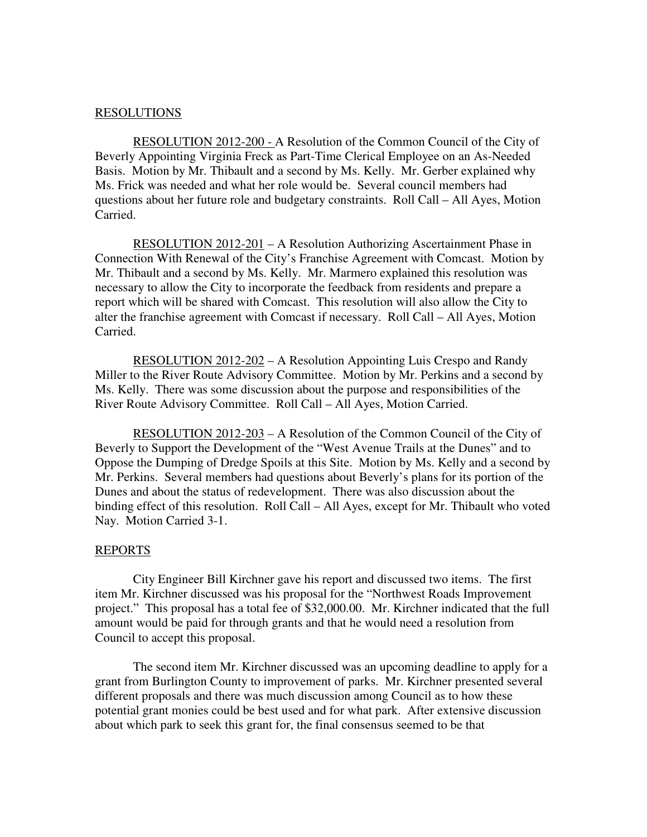### RESOLUTIONS

 RESOLUTION 2012-200 - A Resolution of the Common Council of the City of Beverly Appointing Virginia Freck as Part-Time Clerical Employee on an As-Needed Basis. Motion by Mr. Thibault and a second by Ms. Kelly. Mr. Gerber explained why Ms. Frick was needed and what her role would be. Several council members had questions about her future role and budgetary constraints. Roll Call – All Ayes, Motion Carried.

 RESOLUTION 2012-201 – A Resolution Authorizing Ascertainment Phase in Connection With Renewal of the City's Franchise Agreement with Comcast. Motion by Mr. Thibault and a second by Ms. Kelly. Mr. Marmero explained this resolution was necessary to allow the City to incorporate the feedback from residents and prepare a report which will be shared with Comcast. This resolution will also allow the City to alter the franchise agreement with Comcast if necessary. Roll Call – All Ayes, Motion Carried.

 RESOLUTION 2012-202 – A Resolution Appointing Luis Crespo and Randy Miller to the River Route Advisory Committee. Motion by Mr. Perkins and a second by Ms. Kelly. There was some discussion about the purpose and responsibilities of the River Route Advisory Committee. Roll Call – All Ayes, Motion Carried.

 RESOLUTION 2012-203 – A Resolution of the Common Council of the City of Beverly to Support the Development of the "West Avenue Trails at the Dunes" and to Oppose the Dumping of Dredge Spoils at this Site. Motion by Ms. Kelly and a second by Mr. Perkins. Several members had questions about Beverly's plans for its portion of the Dunes and about the status of redevelopment. There was also discussion about the binding effect of this resolution. Roll Call – All Ayes, except for Mr. Thibault who voted Nay. Motion Carried 3-1.

#### REPORTS

 City Engineer Bill Kirchner gave his report and discussed two items. The first item Mr. Kirchner discussed was his proposal for the "Northwest Roads Improvement project." This proposal has a total fee of \$32,000.00. Mr. Kirchner indicated that the full amount would be paid for through grants and that he would need a resolution from Council to accept this proposal.

 The second item Mr. Kirchner discussed was an upcoming deadline to apply for a grant from Burlington County to improvement of parks. Mr. Kirchner presented several different proposals and there was much discussion among Council as to how these potential grant monies could be best used and for what park. After extensive discussion about which park to seek this grant for, the final consensus seemed to be that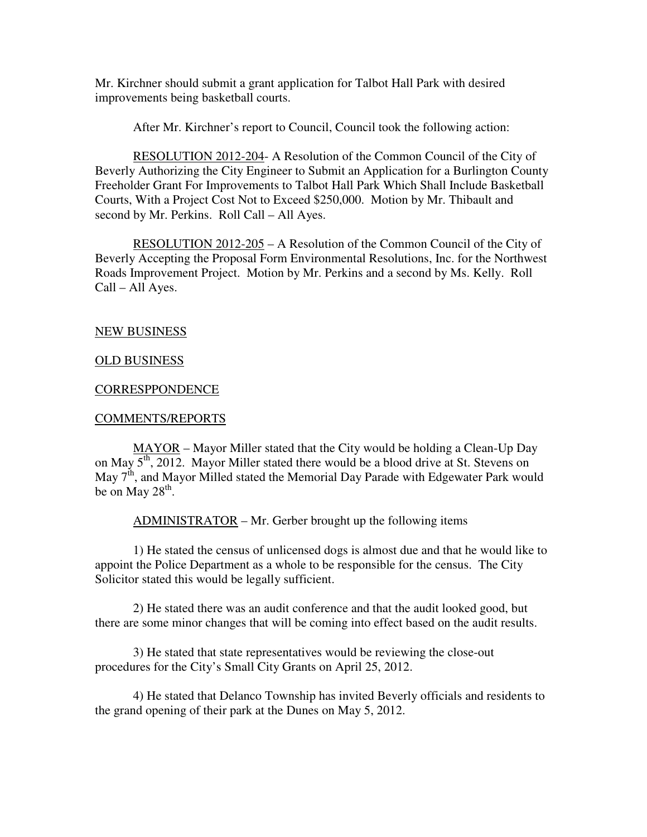Mr. Kirchner should submit a grant application for Talbot Hall Park with desired improvements being basketball courts.

After Mr. Kirchner's report to Council, Council took the following action:

 RESOLUTION 2012-204- A Resolution of the Common Council of the City of Beverly Authorizing the City Engineer to Submit an Application for a Burlington County Freeholder Grant For Improvements to Talbot Hall Park Which Shall Include Basketball Courts, With a Project Cost Not to Exceed \$250,000. Motion by Mr. Thibault and second by Mr. Perkins. Roll Call – All Ayes.

RESOLUTION 2012-205 – A Resolution of the Common Council of the City of Beverly Accepting the Proposal Form Environmental Resolutions, Inc. for the Northwest Roads Improvement Project. Motion by Mr. Perkins and a second by Ms. Kelly. Roll Call – All Ayes.

### NEW BUSINESS

### OLD BUSINESS

#### **CORRESPPONDENCE**

#### COMMENTS/REPORTS

 MAYOR – Mayor Miller stated that the City would be holding a Clean-Up Day on May 5<sup>th</sup>, 2012. Mayor Miller stated there would be a blood drive at St. Stevens on May 7<sup>th</sup>, and Mayor Milled stated the Memorial Day Parade with Edgewater Park would be on May  $28^{\text{th}}$ .

ADMINISTRATOR – Mr. Gerber brought up the following items

 1) He stated the census of unlicensed dogs is almost due and that he would like to appoint the Police Department as a whole to be responsible for the census. The City Solicitor stated this would be legally sufficient.

 2) He stated there was an audit conference and that the audit looked good, but there are some minor changes that will be coming into effect based on the audit results.

 3) He stated that state representatives would be reviewing the close-out procedures for the City's Small City Grants on April 25, 2012.

 4) He stated that Delanco Township has invited Beverly officials and residents to the grand opening of their park at the Dunes on May 5, 2012.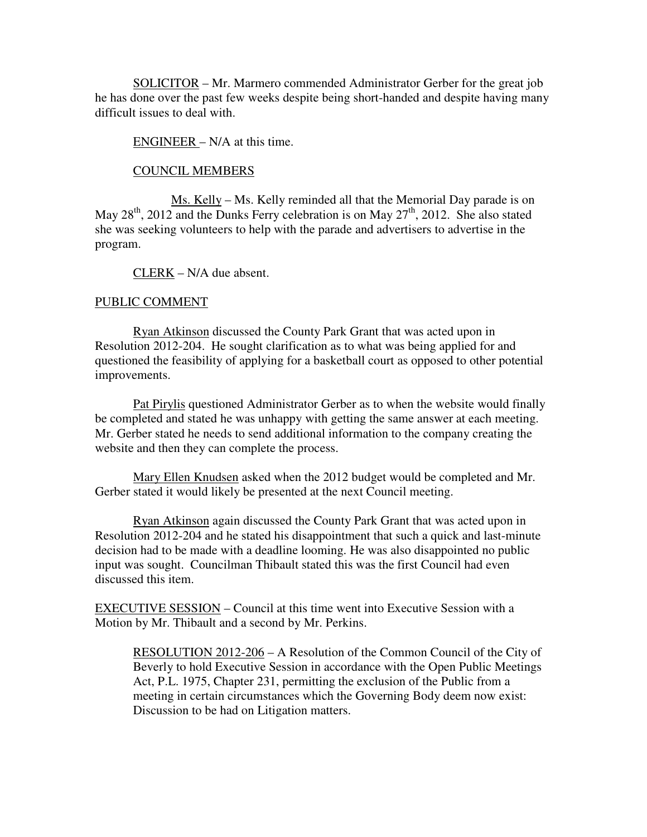SOLICITOR – Mr. Marmero commended Administrator Gerber for the great job he has done over the past few weeks despite being short-handed and despite having many difficult issues to deal with.

## ENGINEER – N/A at this time.

#### COUNCIL MEMBERS

 Ms. Kelly – Ms. Kelly reminded all that the Memorial Day parade is on May  $28^{th}$ ,  $2012$  and the Dunks Ferry celebration is on May  $27^{th}$ ,  $2012$ . She also stated she was seeking volunteers to help with the parade and advertisers to advertise in the program.

CLERK – N/A due absent.

### PUBLIC COMMENT

 Ryan Atkinson discussed the County Park Grant that was acted upon in Resolution 2012-204. He sought clarification as to what was being applied for and questioned the feasibility of applying for a basketball court as opposed to other potential improvements.

 Pat Pirylis questioned Administrator Gerber as to when the website would finally be completed and stated he was unhappy with getting the same answer at each meeting. Mr. Gerber stated he needs to send additional information to the company creating the website and then they can complete the process.

 Mary Ellen Knudsen asked when the 2012 budget would be completed and Mr. Gerber stated it would likely be presented at the next Council meeting.

 Ryan Atkinson again discussed the County Park Grant that was acted upon in Resolution 2012-204 and he stated his disappointment that such a quick and last-minute decision had to be made with a deadline looming. He was also disappointed no public input was sought. Councilman Thibault stated this was the first Council had even discussed this item.

EXECUTIVE SESSION – Council at this time went into Executive Session with a Motion by Mr. Thibault and a second by Mr. Perkins.

 RESOLUTION 2012-206 – A Resolution of the Common Council of the City of Beverly to hold Executive Session in accordance with the Open Public Meetings Act, P.L. 1975, Chapter 231, permitting the exclusion of the Public from a meeting in certain circumstances which the Governing Body deem now exist: Discussion to be had on Litigation matters.